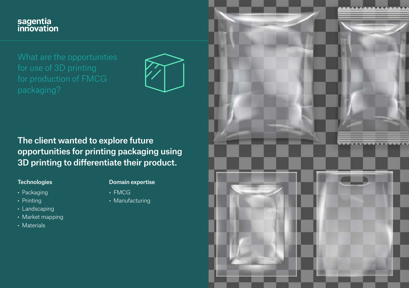# sagentia<br>innovation



# The client wanted to explore future opportunities for printing packaging using 3D printing to differentiate their product.

#### **Technologies**

- Packaging
- Printing
- Landscaping
- Market mapping
- Materials

#### Domain expertise

- FMCG
- Manufacturing